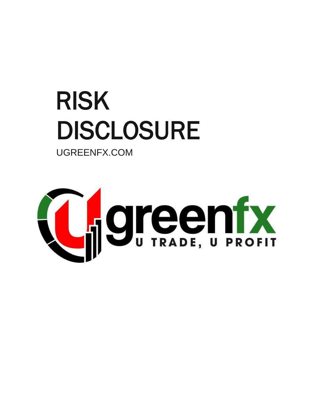# RISK DISCLOSURE

UGREENFX.COM

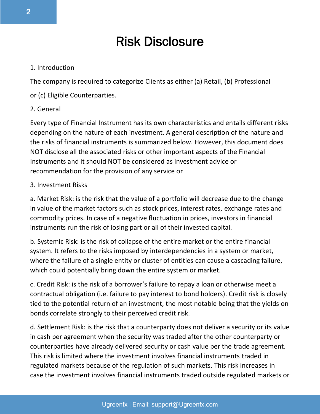## Risk Disclosure

#### 1. Introduction

The company is required to categorize Clients as either (a) Retail, (b) Professional

or (c) Eligible Counterparties.

#### 2. General

Every type of Financial Instrument has its own characteristics and entails different risks depending on the nature of each investment. A general description of the nature and the risks of financial instruments is summarized below. However, this document does NOT disclose all the associated risks or other important aspects of the Financial Instruments and it should NOT be considered as investment advice or recommendation for the provision of any service or

#### 3. Investment Risks

a. Market Risk: is the risk that the value of a portfolio will decrease due to the change in value of the market factors such as stock prices, interest rates, exchange rates and commodity prices. In case of a negative fluctuation in prices, investors in financial instruments run the risk of losing part or all of their invested capital.

b. Systemic Risk: is the risk of collapse of the entire market or the entire financial system. It refers to the risks imposed by interdependencies in a system or market, where the failure of a single entity or cluster of entities can cause a cascading failure, which could potentially bring down the entire system or market.

c. Credit Risk: is the risk of a borrower's failure to repay a loan or otherwise meet a contractual obligation (i.e. failure to pay interest to bond holders). Credit risk is closely tied to the potential return of an investment, the most notable being that the yields on bonds correlate strongly to their perceived credit risk.

d. Settlement Risk: is the risk that a counterparty does not deliver a security or its value in cash per agreement when the security was traded after the other counterparty or counterparties have already delivered security or cash value per the trade agreement. This risk is limited where the investment involves financial instruments traded in regulated markets because of the regulation of such markets. This risk increases in case the investment involves financial instruments traded outside regulated markets or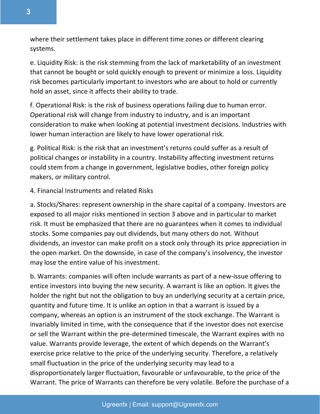where their settlement takes place in different time zones or different clearing systems.

e. Liquidity Risk: is the risk stemming from the lack of marketability of an investment that cannot be bought or sold quickly enough to prevent or minimize a loss. Liquidity risk becomes particularly important to investors who are about to hold or currently hold an asset, since it affects their ability to trade.

f. Operational Risk: is the risk of business operations failing due to human error. Operational risk will change from industry to industry, and is an important consideration to make when looking at potential investment decisions. Industries with lower human interaction are likely to have lower operational risk.

g. Political Risk: is the risk that an investment's returns could suffer as a result of political changes or instability in a country. Instability affecting investment returns could stem from a change in government, legislative bodies, other foreign policy makers, or military control.

### 4. Financial Instruments and related Risks

a. Stocks/Shares: represent ownership in the share capital of a company. Investors are exposed to all major risks mentioned in section 3 above and in particular to market risk. It must be emphasized that there are no guarantees when it comes to individual stocks. Some companies pay out dividends, but many others do not. Without dividends, an investor can make profit on a stock only through its price appreciation in the open market. On the downside, in case of the company's insolvency, the investor may lose the entire value of his investment.

b. Warrants: companies will often include warrants as part of a new-issue offering to entice investors into buying the new security. A warrant is like an option. It gives the holder the right but not the obligation to buy an underlying security at a certain price, quantity and future time. It is unlike an option in that a warrant is issued by a company, whereas an option is an instrument of the stock exchange. The Warrant is invariably limited in time, with the consequence that if the investor does not exercise or sell the Warrant within the pre-determined timescale, the Warrant expires with no value. Warrants provide leverage, the extent of which depends on the Warrant's exercise price relative to the price of the underlying security. Therefore, a relatively small fluctuation in the price of the underlying security may lead to a disproportionately larger fluctuation, favourable or unfavourable, to the price of the Warrant. The price of Warrants can therefore be very volatile. Before the purchase of a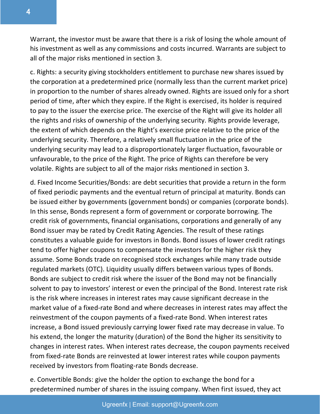Warrant, the investor must be aware that there is a risk of losing the whole amount of his investment as well as any commissions and costs incurred. Warrants are subject to all of the major risks mentioned in section 3.

c. Rights: a security giving stockholders entitlement to purchase new shares issued by the corporation at a predetermined price (normally less than the current market price) in proportion to the number of shares already owned. Rights are issued only for a short period of time, after which they expire. If the Right is exercised, its holder is required to pay to the issuer the exercise price. The exercise of the Right will give its holder all the rights and risks of ownership of the underlying security. Rights provide leverage, the extent of which depends on the Right's exercise price relative to the price of the underlying security. Therefore, a relatively small fluctuation in the price of the underlying security may lead to a disproportionately larger fluctuation, favourable or unfavourable, to the price of the Right. The price of Rights can therefore be very volatile. Rights are subject to all of the major risks mentioned in section 3.

d. Fixed Income Securities/Bonds: are debt securities that provide a return in the form of fixed periodic payments and the eventual return of principal at maturity. Bonds can be issued either by governments (government bonds) or companies (corporate bonds). In this sense, Bonds represent a form of government or corporate borrowing. The credit risk of governments, financial organisations, corporations and generally of any Bond issuer may be rated by Credit Rating Agencies. The result of these ratings constitutes a valuable guide for investors in Bonds. Bond issues of lower credit ratings tend to offer higher coupons to compensate the investors for the higher risk they assume. Some Bonds trade on recognised stock exchanges while many trade outside regulated markets (OTC). Liquidity usually differs between various types of Bonds. Bonds are subject to credit risk where the issuer of the Bond may not be financially solvent to pay to investors' interest or even the principal of the Bond. Interest rate risk is the risk where increases in interest rates may cause significant decrease in the market value of a fixed-rate Bond and where decreases in interest rates may affect the reinvestment of the coupon payments of a fixed-rate Bond. When interest rates increase, a Bond issued previously carrying lower fixed rate may decrease in value. To his extend, the longer the maturity (duration) of the Bond the higher its sensitivity to changes in interest rates. When interest rates decrease, the coupon payments received from fixed-rate Bonds are reinvested at lower interest rates while coupon payments received by investors from floating-rate Bonds decrease.

e. Convertible Bonds: give the holder the option to exchange the bond for a predetermined number of shares in the issuing company. When first issued, they act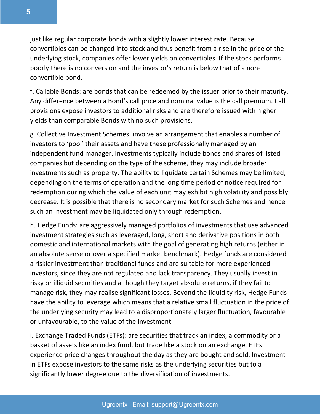just like regular corporate bonds with a slightly lower interest rate. Because convertibles can be changed into stock and thus benefit from a rise in the price of the underlying stock, companies offer lower yields on convertibles. If the stock performs poorly there is no conversion and the investor's return is below that of a nonconvertible bond.

f. Callable Bonds: are bonds that can be redeemed by the issuer prior to their maturity. Any difference between a Bond's call price and nominal value is the call premium. Call provisions expose investors to additional risks and are therefore issued with higher yields than comparable Bonds with no such provisions.

g. Collective Investment Schemes: involve an arrangement that enables a number of investors to 'pool' their assets and have these professionally managed by an independent fund manager. Investments typically include bonds and shares of listed companies but depending on the type of the scheme, they may include broader investments such as property. The ability to liquidate certain Schemes may be limited, depending on the terms of operation and the long time period of notice required for redemption during which the value of each unit may exhibit high volatility and possibly decrease. It is possible that there is no secondary market for such Schemes and hence such an investment may be liquidated only through redemption.

h. Hedge Funds: are aggressively managed portfolios of investments that use advanced investment strategies such as leveraged, long, short and derivative positions in both domestic and international markets with the goal of generating high returns (either in an absolute sense or over a specified market benchmark). Hedge funds are considered a riskier investment than traditional funds and are suitable for more experienced investors, since they are not regulated and lack transparency. They usually invest in risky or illiquid securities and although they target absolute returns, if they fail to manage risk, they may realise significant losses. Beyond the liquidity risk, Hedge Funds have the ability to leverage which means that a relative small fluctuation in the price of the underlying security may lead to a disproportionately larger fluctuation, favourable or unfavourable, to the value of the investment.

i. Exchange Traded Funds (ETFs): are securities that track an index, a commodity or a basket of assets like an index fund, but trade like a stock on an exchange. ETFs experience price changes throughout the day as they are bought and sold. Investment in ETFs expose investors to the same risks as the underlying securities but to a significantly lower degree due to the diversification of investments.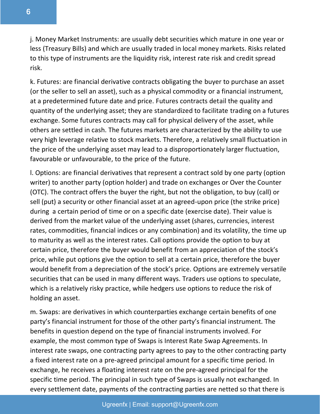j. Money Market Instruments: are usually debt securities which mature in one year or less (Treasury Bills) and which are usually traded in local money markets. Risks related to this type of instruments are the liquidity risk, interest rate risk and credit spread risk.

k. Futures: are financial derivative contracts obligating the buyer to purchase an asset (or the seller to sell an asset), such as a physical commodity or a financial instrument, at a predetermined future date and price. Futures contracts detail the quality and quantity of the underlying asset; they are standardized to facilitate trading on a futures exchange. Some futures contracts may call for physical delivery of the asset, while others are settled in cash. The futures markets are characterized by the ability to use very high leverage relative to stock markets. Therefore, a relatively small fluctuation in the price of the underlying asset may lead to a disproportionately larger fluctuation, favourable or unfavourable, to the price of the future.

l. Options: are financial derivatives that represent a contract sold by one party (option writer) to another party (option holder) and trade on exchanges or Over the Counter (OTC). The contract offers the buyer the right, but not the obligation, to buy (call) or sell (put) a security or other financial asset at an agreed-upon price (the strike price) during a certain period of time or on a specific date (exercise date). Their value is derived from the market value of the underlying asset (shares, currencies, interest rates, commodities, financial indices or any combination) and its volatility, the time up to maturity as well as the interest rates. Call options provide the option to buy at certain price, therefore the buyer would benefit from an appreciation of the stock's price, while put options give the option to sell at a certain price, therefore the buyer would benefit from a depreciation of the stock's price. Options are extremely versatile securities that can be used in many different ways. Traders use options to speculate, which is a relatively risky practice, while hedgers use options to reduce the risk of holding an asset.

m. Swaps: are derivatives in which counterparties exchange certain benefits of one party's financial instrument for those of the other party's financial instrument. The benefits in question depend on the type of financial instruments involved. For example, the most common type of Swaps is Interest Rate Swap Agreements. In interest rate swaps, one contracting party agrees to pay to the other contracting party a fixed interest rate on a pre-agreed principal amount for a specific time period. In exchange, he receives a floating interest rate on the pre-agreed principal for the specific time period. The principal in such type of Swaps is usually not exchanged. In every settlement date, payments of the contracting parties are netted so that there is